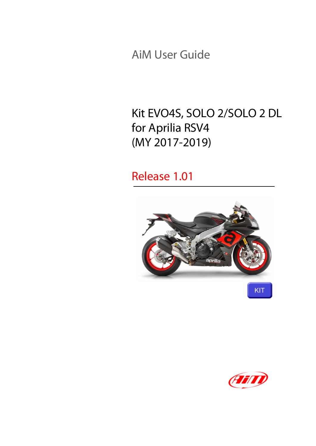AiM User Guide

#### Kit EVO4S, SOLO 2/SOLO 2 DL for Aprilia RSV4 (MY 2017-2019)

#### Release 1.01



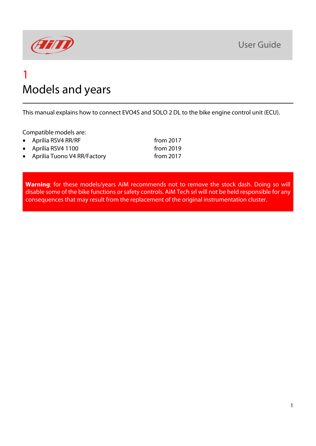

#### 1 Models and years

This manual explains how to connect EVO4S and SOLO 2 DL to the bike engine control unit (ECU).

Compatible models are:

• Aprilia RSV4 RR/RF from 2017 • Aprilia RSV4 1100 from 2019 • Aprilia Tuono V4 RR/Factory from 2017

**Warning**: for these models/years AiM recommends not to remove the stock dash. Doing so will disable some of the bike functions or safety controls. AiM Tech srl will not be held responsible for any consequences that may result from the replacement of the original instrumentation cluster.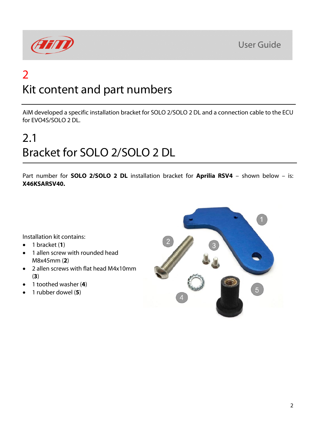



### 2 Kit content and part numbers

AiM developed a specific installation bracket for SOLO 2/SOLO 2 DL and a connection cable to the ECU for EVO4S/SOLO 2 DL.

# 2.1 Bracket for SOLO 2/SOLO 2 DL

Part number for **SOLO 2/SOLO 2 DL** installation bracket for **Aprilia RSV4** – shown below – is: **X46KSARSV40.**

Installation kit contains:

- 1 bracket (**1**)
- 1 allen screw with rounded head M8x45mm (**2**)
- 2 allen screws with flat head M4x10mm (**3**)
- 1 toothed washer (**4**)
- 1 rubber dowel (**5**)

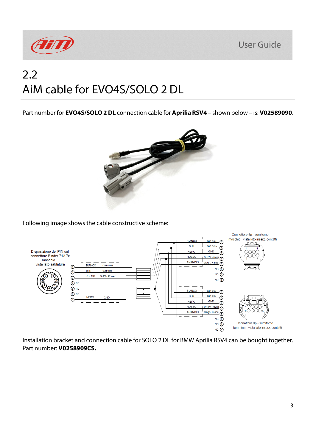**User Guide** 



## 2.2 AiM cable for EVO4S/SOLO 2 DL

Part number for **EVO4S/SOLO 2 DL** connection cable for **Aprilia RSV4** – shown below – is: **V02589090**.



Following image shows the cable constructive scheme:



Installation bracket and connection cable for SOLO 2 DL for BMW Aprilia RSV4 can be bought together. Part number: **V0258909CS.**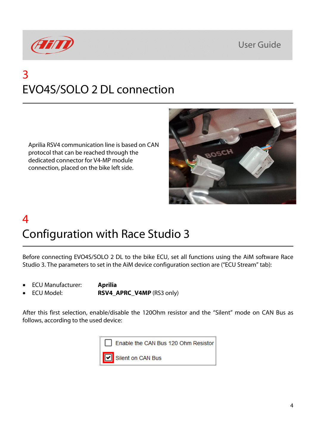



## 3 EVO4S/SOLO 2 DL connection

Aprilia RSV4 communication line is based on CAN protocol that can be reached through the dedicated connector for V4-MP module connection, placed on the bike left side.



## 4 Configuration with Race Studio 3

Before connecting EVO4S/SOLO 2 DL to the bike ECU, set all functions using the AiM software Race Studio 3. The parameters to set in the AiM device configuration section are ("ECU Stream" tab):

- ECU Manufacturer: **Aprilia**
	-
	- ECU Model: **RSV4\_APRC\_V4MP** (RS3 only)

After this first selection, enable/disable the 120Ohm resistor and the "Silent" mode on CAN Bus as follows, according to the used device:

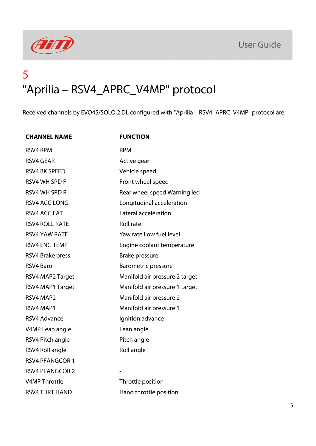



### 5 "Aprilia – RSV4\_APRC\_V4MP" protocol

Received channels by EVO4S/SOLO 2 DL configured with "Aprilia – RSV4\_APRC\_V4MP" protocol are:

| <b>CHANNEL NAME</b>    | <b>FUNCTION</b>                |
|------------------------|--------------------------------|
| <b>RSV4 RPM</b>        | <b>RPM</b>                     |
| <b>RSV4 GEAR</b>       | Active gear                    |
| <b>RSV4 BK SPEED</b>   | Vehicle speed                  |
| <b>RSV4 WH SPD F</b>   | Front wheel speed              |
| <b>RSV4 WH SPD R</b>   | Rear wheel speed Warning led   |
| <b>RSV4 ACC LONG</b>   | Longitudinal acceleration      |
| RSV4 ACC LAT           | Lateral acceleration           |
| <b>RSV4 ROLL RATE</b>  | <b>Roll rate</b>               |
| <b>RSV4 YAW RATE</b>   | Yaw rate Low fuel level        |
| <b>RSV4 ENG TEMP</b>   | Engine coolant temperature     |
| RSV4 Brake press       | <b>Brake pressure</b>          |
| RSV4 Baro              | <b>Barometric pressure</b>     |
| RSV4 MAP2 Target       | Manifold air pressure 2 target |
| RSV4 MAP1 Target       | Manifold air pressure 1 target |
| RSV4 MAP2              | Manifold air pressure 2        |
| RSV4 MAP1              | Manifold air pressure 1        |
| <b>RSV4 Advance</b>    | Ignition advance               |
| V4MP Lean angle        | Lean angle                     |
| RSV4 Pitch angle       | Pitch angle                    |
| RSV4 Roll angle        | Roll angle                     |
| <b>RSV4 PFANGCOR 1</b> |                                |
| <b>RSV4 PFANGCOR 2</b> |                                |
| <b>V4MP Throttle</b>   | Throttle position              |
| <b>RSV4 THRT HAND</b>  | Hand throttle position         |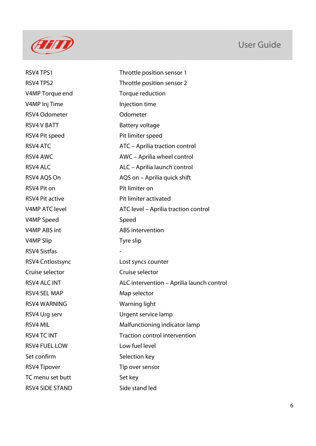

#### User Guide

RSV4 TPS1 Throttle position sensor 1 RSV4 TPS2 Throttle position sensor 2 V4MP Torque end Torque reduction V4MP Inj Time Injection time RSV4 Odometer **Odometer** Odometer RSV4 V BATT Battery voltage RSV4 Pit speed Pit limiter speed RSV4 ATC **ATC** – Aprilia traction control RSV4 AWC **AWC** – Aprilia wheel control RSV4 ALC ALC – Aprilia launch control RSV4 AQS On AQS on – Aprilia quick shift RSV4 Pit on Pit limiter on RSV4 Pit active **Pit limiter activated** V4MP ATC level **ATC level – Aprilia traction control** V4MP Speed Speed V4MP ABS int ABS intervention V4MP Slip Tyre slip RSV4 Sistfas - RSV4 Cntlostsync Lost syncs counter Cruise selector Cruise selector RSV4 ALC INT ALC intervention – Aprilia launch control RSV4 SEL MAP Map selector RSV4 WARNING Warning light RSV4 Urg serv Urgent service lamp RSV4 MIL Malfunctioning indicator lamp RSV4 TC INT Traction control intervention RSV4 FUEL LOW Low fuel level Set confirm Selection key RSV4 Tipover Tip over sensor TC menu set butt Set key RSV4 SIDE STAND Side stand led